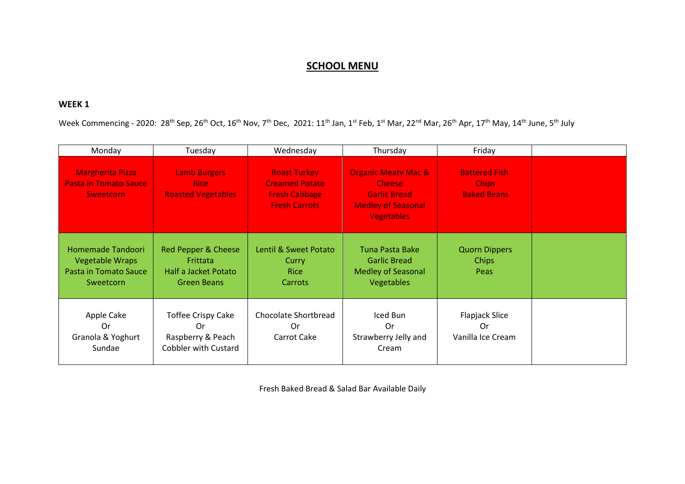## **SCHOOL MENU**

## **WEEK 1**

Week Commencing - 2020: 28<sup>th</sup> Sep, 26<sup>th</sup> Oct, 16<sup>th</sup> Nov, 7<sup>th</sup> Dec, 2021: 11<sup>th</sup> Jan, 1<sup>st</sup> Feb, 1<sup>st</sup> Mar, 22<sup>nd</sup> Mar, 26<sup>th</sup> Apr, 17<sup>th</sup> May, 14<sup>th</sup> June, 5<sup>th</sup> July

| Monday                                                                            | Tuesday                                                                             | Wednesday                                                                                    | Thursday                                                                                                                 | Friday                                                     |  |
|-----------------------------------------------------------------------------------|-------------------------------------------------------------------------------------|----------------------------------------------------------------------------------------------|--------------------------------------------------------------------------------------------------------------------------|------------------------------------------------------------|--|
| <b>Margherita Pizza</b><br><b>Pasta in Tomato Sauce</b><br><b>Sweetcorn</b>       | <b>Lamb Burgers</b><br>Rice:<br><b>Roasted Vegetables</b>                           | <b>Roast Turkey</b><br><b>Creamed Potato</b><br><b>Fresh Cabbage</b><br><b>Fresh Carrots</b> | <b>Organic Meaty Mac &amp;</b><br><b>Cheese</b><br><b>Garlic Bread</b><br><b>Medley of Seasonal</b><br><b>Vegetables</b> | <b>Battered Fish</b><br><b>Chips</b><br><b>Baked Beans</b> |  |
| Homemade Tandoori<br><b>Vegetable Wraps</b><br>Pasta in Tomato Sauce<br>Sweetcorn | Red Pepper & Cheese<br>Frittata<br>Half a Jacket Potato<br>Green Beans              | Lentil & Sweet Potato<br><b>Curry</b><br><b>Rice</b><br><b>Carrots</b>                       | Tuna Pasta Bake<br><b>Garlic Bread</b><br><b>Medley of Seasonal</b><br><b>Vegetables</b>                                 | <b>Quorn Dippers</b><br><b>Chips</b><br>Peas               |  |
| Apple Cake<br>0r<br>Granola & Yoghurt<br>Sundae                                   | <b>Toffee Crispy Cake</b><br>0r<br>Raspberry & Peach<br><b>Cobbler with Custard</b> | Chocolate Shortbread<br>0r.<br>Carrot Cake                                                   | Iced Bun<br>0r<br>Strawberry Jelly and<br>Cream                                                                          | Flapjack Slice<br>0r<br>Vanilla Ice Cream                  |  |

Fresh Baked Bread & Salad Bar Available Daily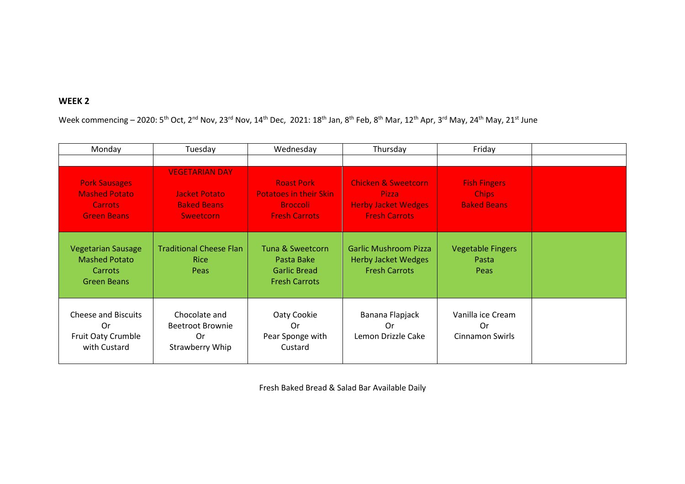## **WEEK 2**

Week commencing – 2020: 5<sup>th</sup> Oct, 2<sup>nd</sup> Nov, 23<sup>rd</sup> Nov, 14<sup>th</sup> Dec, 2021: 18<sup>th</sup> Jan, 8<sup>th</sup> Feb, 8<sup>th</sup> Mar, 12<sup>th</sup> Apr, 3<sup>rd</sup> May, 24<sup>th</sup> May, 21<sup>st</sup> June

| Monday                                                                               | Tuesday                                                                          | Wednesday                                                                                     | Thursday                                                                                             | Friday                                                    |  |
|--------------------------------------------------------------------------------------|----------------------------------------------------------------------------------|-----------------------------------------------------------------------------------------------|------------------------------------------------------------------------------------------------------|-----------------------------------------------------------|--|
|                                                                                      |                                                                                  |                                                                                               |                                                                                                      |                                                           |  |
| <b>Pork Sausages</b><br><b>Mashed Potato</b><br><b>Carrots</b><br><b>Green Beans</b> | <b>VEGETARIAN DAY</b><br><b>Jacket Potato</b><br><b>Baked Beans</b><br>Sweetcorn | <b>Roast Pork</b><br><b>Potatoes in their Skin</b><br><b>Broccoli</b><br><b>Fresh Carrots</b> | <b>Chicken &amp; Sweetcorn</b><br><b>Pizza</b><br><b>Herby Jacket Wedges</b><br><b>Fresh Carrots</b> | <b>Fish Fingers</b><br><b>Chips</b><br><b>Baked Beans</b> |  |
| <b>Vegetarian Sausage</b><br><b>Mashed Potato</b><br>Carrots<br><b>Green Beans</b>   | <b>Traditional Cheese Flan</b><br><b>Rice</b><br>Peas                            | Tuna & Sweetcorn<br>Pasta Bake<br><b>Garlic Bread</b><br><b>Fresh Carrots</b>                 | <b>Garlic Mushroom Pizza</b><br><b>Herby Jacket Wedges</b><br><b>Fresh Carrots</b>                   | <b>Vegetable Fingers</b><br>Pasta<br>Peas                 |  |
| <b>Cheese and Biscuits</b><br>0r<br>Fruit Oaty Crumble<br>with Custard               | Chocolate and<br><b>Beetroot Brownie</b><br>0r<br>Strawberry Whip                | Oaty Cookie<br>0r<br>Pear Sponge with<br>Custard                                              | Banana Flapjack<br>0r<br>Lemon Drizzle Cake                                                          | Vanilla ice Cream<br>0r<br>Cinnamon Swirls                |  |

Fresh Baked Bread & Salad Bar Available Daily